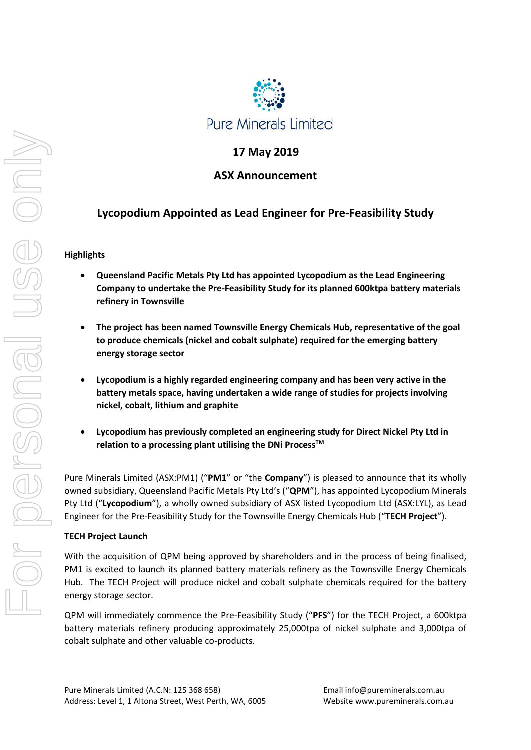

## **17 May 2019**

## **ASX Announcement**

# **Lycopodium Appointed as Lead Engineer for Pre-Feasibility Study**

### **Highlights**

- **Queensland Pacific Metals Pty Ltd has appointed Lycopodium as the Lead Engineering Company to undertake the Pre-Feasibility Study for its planned 600ktpa battery materials refinery in Townsville**
- **The project has been named Townsville Energy Chemicals Hub, representative of the goal to produce chemicals (nickel and cobalt sulphate) required for the emerging battery energy storage sector**
- **Lycopodium is a highly regarded engineering company and has been very active in the battery metals space, having undertaken a wide range of studies for projects involving nickel, cobalt, lithium and graphite**
- **Lycopodium has previously completed an engineering study for Direct Nickel Pty Ltd in**  relation to a processing plant utilising the DNi Process<sup>™</sup>

Pure Minerals Limited (ASX:PM1) ("**PM1**" or "the **Company**") is pleased to announce that its wholly owned subsidiary, Queensland Pacific Metals Pty Ltd's ("**QPM**"), has appointed Lycopodium Minerals Pty Ltd ("**Lycopodium**"), a wholly owned subsidiary of ASX listed Lycopodium Ltd (ASX:LYL), as Lead Engineer for the Pre-Feasibility Study for the Townsville Energy Chemicals Hub ("**TECH Project**").

#### **TECH Project Launch**

With the acquisition of QPM being approved by shareholders and in the process of being finalised, PM1 is excited to launch its planned battery materials refinery as the Townsville Energy Chemicals Hub. The TECH Project will produce nickel and cobalt sulphate chemicals required for the battery energy storage sector.

QPM will immediately commence the Pre-Feasibility Study ("**PFS**") for the TECH Project, a 600ktpa battery materials refinery producing approximately 25,000tpa of nickel sulphate and 3,000tpa of cobalt sulphate and other valuable co-products.